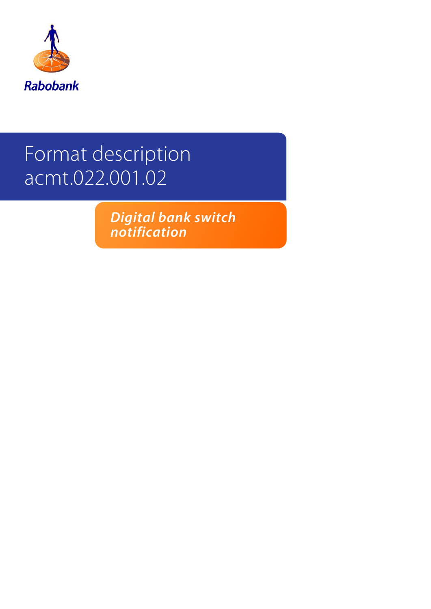

# Format description acmt.022.001.02

*Digital bank switch notification*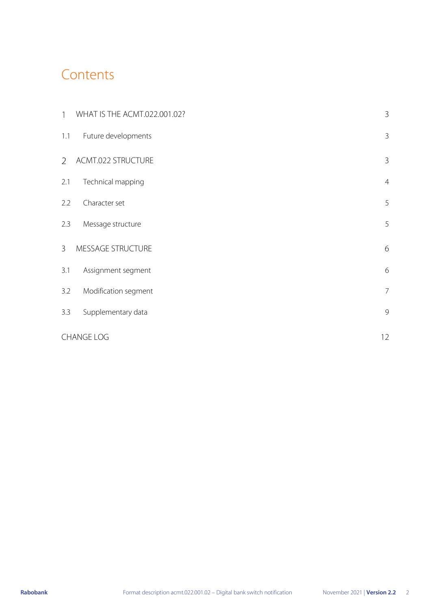### **Contents**

| $\mathbf{1}$   | WHAT IS THE ACMT.022.001.02? | 3              |
|----------------|------------------------------|----------------|
| 1.1            | Future developments          | $\mathfrak{Z}$ |
| $\overline{2}$ | ACMT.022 STRUCTURE           | 3              |
| 2.1            | Technical mapping            | $\overline{4}$ |
| 2.2            | Character set                | 5              |
| 2.3            | Message structure            | 5              |
| $\overline{3}$ | MESSAGE STRUCTURE            | 6              |
| 3.1            | Assignment segment           | 6              |
| 3.2            | Modification segment         | $\overline{7}$ |
| 3.3            | Supplementary data           | $\mathcal{G}$  |
|                | <b>CHANGE LOG</b>            | 12             |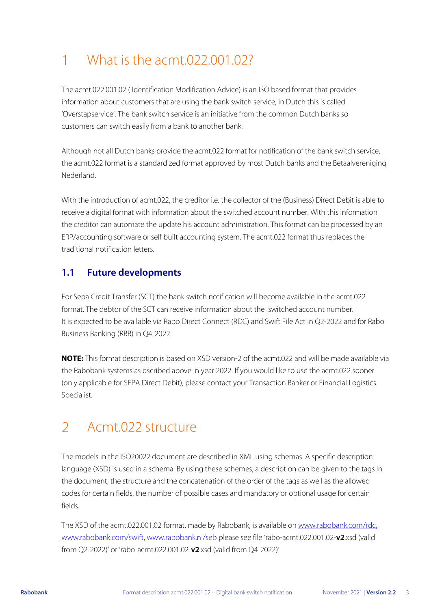#### <span id="page-2-0"></span>What is the acmt.022.001.02?  $\mathbf{1}$

The acmt.022.001.02 ( Identification Modification Advice) is an ISO based format that provides information about customers that are using the bank switch service, in Dutch this is called 'Overstapservice'. The bank switch service is an initiative from the common Dutch banks so customers can switch easily from a bank to another bank.

*Although not all Dutch banks provide the acmt.022 format for notification of the bank switch service, the acmt.022 format is a standardized format approved by most Dutch banks and the Betaalvereniging Nederland.*

With the introduction of acmt.022, the creditor i.e. the collector of the (Business) Direct Debit is able to receive a digital format with information about the switched account number. With this information the creditor can automate the update his account administration. This format can be processed by an ERP/accounting software or self built accounting system. The acmt.022 format thus replaces the traditional notification letters.

#### <span id="page-2-1"></span>**1.1 Future developments**

For Sepa Credit Transfer (SCT) the bank switch notification will become available in the acmt.022 format. The debtor of the SCT can receive information about the switched account number. It is expected to be available via Rabo Direct Connect (RDC) and Swift File Act in Q2-2022 and for Rabo Business Banking (RBB) in Q4-2022.

**NOTE:** This format description is based on XSD version-2 of the acmt.022 and will be made available via the Rabobank systems as dscribed above in year 2022. If you would like to use the acmt.022 sooner (only applicable for SEPA Direct Debit), please contact your Transaction Banker or Financial Logistics Specialist.

#### <span id="page-2-2"></span> $\mathcal{P}$ Acmt.022 structure

The models in the ISO20022 document are described in XML using schemas. A specific description language (XSD) is used in a schema. By using these schemes, a description can be given to the tags in the document, the structure and the concatenation of the order of the tags as well as the allowed codes for certain fields, the number of possible cases and mandatory or optional usage for certain fields.

The XSD of the acmt.022.001.02 format, made by Rabobank, is available on www.rabobank.com/rdc, [www.rabobank.com/swift,](file:///C:/Users/ArtsM1/AppData/Local/Microsoft/Windows/INetCache/Content.Outlook/9ECV0UVN/www.rabobank.com/swift) [www.rabobank.nl/seb](http://www.rabobank.nl/seb) please see file 'rabo-acmt.022.001.02-**v2**.xsd (valid from Q2-2022)' or 'rabo-acmt.022.001.02-**v2**.xsd (valid from Q4-2022)'.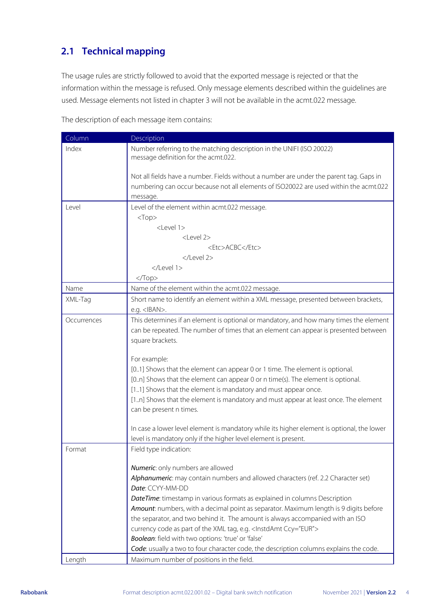### <span id="page-3-0"></span>**2.1 Technical mapping**

The usage rules are strictly followed to avoid that the exported message is rejected or that the information within the message is refused. Only message elements described within the guidelines are used. Message elements not listed in chapter 3 will not be available in the acmt.022 message.

The description of each message item contains:

| Number referring to the matching description in the UNIFI (ISO 20022)<br>Index                                                                                                               |  |
|----------------------------------------------------------------------------------------------------------------------------------------------------------------------------------------------|--|
| message definition for the acmt.022.                                                                                                                                                         |  |
| Not all fields have a number. Fields without a number are under the parent tag. Gaps in<br>numbering can occur because not all elements of ISO20022 are used within the acmt.022<br>message. |  |
| Level of the element within acmt.022 message.<br>Level                                                                                                                                       |  |
| $<$ Top $>$                                                                                                                                                                                  |  |
| <level 1=""></level>                                                                                                                                                                         |  |
| <level 2=""></level>                                                                                                                                                                         |  |
| <etc>ACBC</etc>                                                                                                                                                                              |  |
|                                                                                                                                                                                              |  |
|                                                                                                                                                                                              |  |
| $<$ Top>                                                                                                                                                                                     |  |
| Name<br>Name of the element within the acmt.022 message.                                                                                                                                     |  |
| Short name to identify an element within a XML message, presented between brackets,<br>XML-Tag<br>e.g. <iban>.</iban>                                                                        |  |
| This determines if an element is optional or mandatory, and how many times the element<br>Occurrences                                                                                        |  |
| can be repeated. The number of times that an element can appear is presented between                                                                                                         |  |
| square brackets.                                                                                                                                                                             |  |
|                                                                                                                                                                                              |  |
| For example:                                                                                                                                                                                 |  |
| [01] Shows that the element can appear 0 or 1 time. The element is optional.                                                                                                                 |  |
| [0n] Shows that the element can appear 0 or n time(s). The element is optional.                                                                                                              |  |
| [11] Shows that the element is mandatory and must appear once.                                                                                                                               |  |
| [1n] Shows that the element is mandatory and must appear at least once. The element                                                                                                          |  |
| can be present n times.                                                                                                                                                                      |  |
|                                                                                                                                                                                              |  |
| In case a lower level element is mandatory while its higher element is optional, the lower                                                                                                   |  |
| level is mandatory only if the higher level element is present.                                                                                                                              |  |
| Field type indication:<br>Format                                                                                                                                                             |  |
| Numeric: only numbers are allowed                                                                                                                                                            |  |
| Alphanumeric: may contain numbers and allowed characters (ref. 2.2 Character set)                                                                                                            |  |
| Date: CCYY-MM-DD                                                                                                                                                                             |  |
| DateTime: timestamp in various formats as explained in columns Description                                                                                                                   |  |
| Amount: numbers, with a decimal point as separator. Maximum length is 9 digits before                                                                                                        |  |
| the separator, and two behind it. The amount is always accompanied with an ISO                                                                                                               |  |
| currency code as part of the XML tag, e.g. < InstdAmt Ccy="EUR">                                                                                                                             |  |
| Boolean: field with two options: 'true' or 'false'                                                                                                                                           |  |
| Code: usually a two to four character code, the description columns explains the code.                                                                                                       |  |
| Length<br>Maximum number of positions in the field.                                                                                                                                          |  |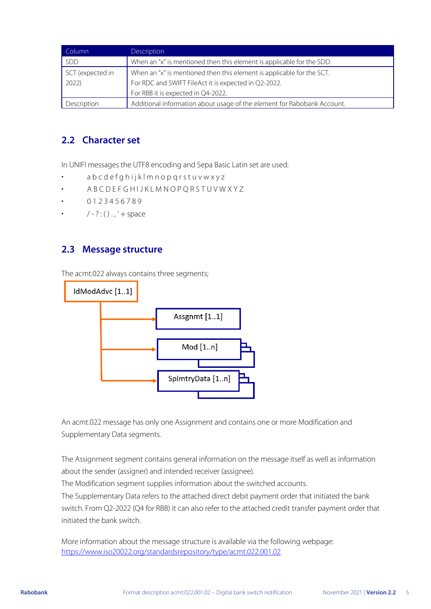| Column           | Description                                                             |
|------------------|-------------------------------------------------------------------------|
| <b>SDD</b>       | When an "x" is mentioned then this element is applicable for the SDD.   |
| SCT (expected in | When an "x" is mentioned then this element is applicable for the SCT.   |
| 2022)            | For RDC and SWIFT FileAct it is expected in Q2-2022.                    |
|                  | For RBB it is expected in Q4-2022.                                      |
| Description      | Additional information about usage of the element for Rabobank Account. |

#### <span id="page-4-0"></span>**2.2 Character set**

In UNIFI messages the UTF8 encoding and Sepa Basic Latin set are used:

- a b c d e f g h i j k l m n o p q r s t u v w x y z
- A B C D E F G H I J K L M N O P Q R S T U V W X Y Z
- 0 1 2 3 4 5 6 7 8 9
- $/ ?$  : ( ) . , ' + space

#### <span id="page-4-1"></span>**2.3 Message structure**

The acmt.022 always contains three segments;



An acmt.022 message has only one Assignment and contains one or more Modification and Supplementary Data segments.

The Assignment segment contains general information on the message itself as well as information about the sender (assigner) and intended receiver (assignee).

The Modification segment supplies information about the switched accounts.

The Supplementary Data refers to the attached direct debit payment order that initiated the bank switch. From Q2-2022 (Q4 for RBB) it can also refer to the attached credit transfer payment order that initiated the bank switch.

More information about the message structure is available via the following webpage: <https://www.iso20022.org/standardsrepository/type/acmt.022.001.02>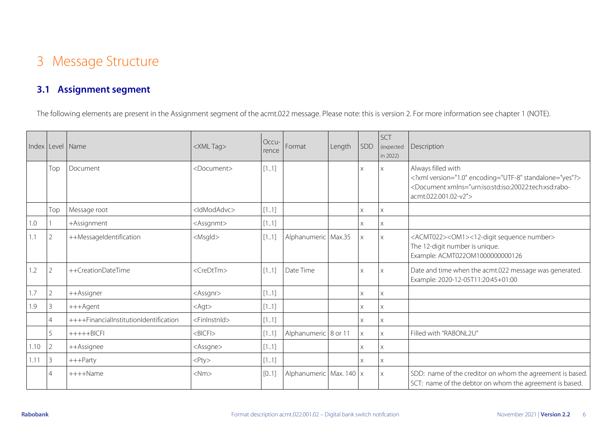## 3 Message Structure

#### **3.1 Assignment segment**

The following elements are present in the Assignment segment of the acmt.022 message. **Please note**: this is version 2. For more information see chapter 1 (NOTE).

<span id="page-5-1"></span><span id="page-5-0"></span>

|      | Index Level Name |                                        | <xml tag=""></xml>           | Occu-<br>rence | Format                  | Length | SDD      | SCT<br>(expected<br>in 2022) | Description                                                                                                                                                                  |
|------|------------------|----------------------------------------|------------------------------|----------------|-------------------------|--------|----------|------------------------------|------------------------------------------------------------------------------------------------------------------------------------------------------------------------------|
|      | Top              | Document                               | <document></document>        | [11]           |                         |        | X.       | $\times$                     | Always filled with<br>xml version="1.0" encoding="UTF-8" standalone="yes"?<br><document xmlns="urn:iso:std:iso:20022:tech:xsd:rabo-&lt;br&gt;acmt.022.001.02-v2"></document> |
|      | Top              | Message root                           | <ldmodadvc></ldmodadvc>      | [11]           |                         |        | X        | $\times$                     |                                                                                                                                                                              |
| 1.0  |                  | +Assignment                            | <assgnmt></assgnmt>          | [11]           |                         |        | X        | Χ                            |                                                                                                                                                                              |
|      | $\overline{2}$   | ++MessageIdentification                | <msgld></msgld>              | [11]           | Alphanumeric Max.35     |        | $\times$ | $\times$                     | <acmt022><om1>&lt;12-digit sequence number&gt;<br/>The 12-digit number is unique.<br/>Example: ACMT022OM1000000000126</om1></acmt022>                                        |
| 1.2  | $\overline{2}$   | ++CreationDateTime                     | <credttm></credttm>          | [11]           | Date Time               |        | X        | $\times$                     | Date and time when the acmt.022 message was generated.<br>Example: 2020-12-05T11:20:45+01:00                                                                                 |
| 1.7  | $\overline{2}$   | ++Assigner                             | <assgnr></assgnr>            | [11]           |                         |        | X.       | X                            |                                                                                                                                                                              |
| 1.9  | 3                | +++Agent                               | $<$ Agt $>$                  | [11]           |                         |        | X.       | X                            |                                                                                                                                                                              |
|      | $\Delta$         | ++++FinancialInstitutionIdentification | $<$ Finlnstn $\mathsf{Id}$ > | [11]           |                         |        | X        | $\times$                     |                                                                                                                                                                              |
|      | 5                | $+++++BICFI$                           | $<$ BICFI $>$                | [11]           | Alphanumeric   8 or 11  |        | $\times$ | $\times$                     | Filled with "RABONL2U"                                                                                                                                                       |
| 1.10 | $\overline{2}$   | ++Assignee                             | <assgne></assgne>            | [11]           |                         |        | X        | X                            |                                                                                                                                                                              |
| 1.11 | $\mathfrak{Z}$   | $+++$ Party                            | $<$ Pty $>$                  | [11]           |                         |        | X.       | $\times$                     |                                                                                                                                                                              |
|      | $\overline{4}$   | $++++$ Name                            | $<$ Nm $>$                   | [0.1]          | Alphanumeric Max. 140 x |        |          | $\times$                     | SDD: name of the creditor on whom the agreement is based.<br>SCT: name of the debtor on whom the agreement is based.                                                         |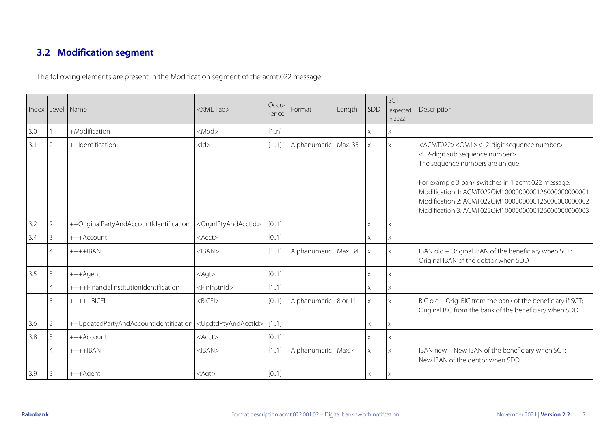### **3.2 Modification segment**

The following elements are present in the Modification segment of the acmt.022 message.

<span id="page-6-0"></span>

|     |                | Index Level Name                        | <xml tag=""></xml>                      | Occu-<br>rence | Format                 | Length | SDD      | SCT<br>(expected<br>in 2022) | Description                                                                                                                                                                                                                                                                                                                                                           |
|-----|----------------|-----------------------------------------|-----------------------------------------|----------------|------------------------|--------|----------|------------------------------|-----------------------------------------------------------------------------------------------------------------------------------------------------------------------------------------------------------------------------------------------------------------------------------------------------------------------------------------------------------------------|
| 3.0 |                | +Modification                           | $<$ Mod $>$                             | [1n]           |                        |        | X        | Χ                            |                                                                                                                                                                                                                                                                                                                                                                       |
| 3.1 | $\overline{2}$ | ++Identification                        | $<$ ld $>$                              | [11]           | Alphanumeric   Max. 35 |        |          | $\chi$                       | <acmt022><om1>&lt;12-digit sequence number&gt;<br/>&lt;12-digit sub sequence number&gt;<br/>The sequence numbers are unique<br/>For example 3 bank switches in 1 acmt.022 message:<br/>Modification 1: ACMT022OM100000000126000000000001<br/>Modification 2: ACMT022OM100000000126000000000002<br/>Modification 3: ACMT022OM1000000000126000000000003</om1></acmt022> |
| 3.2 | $\overline{2}$ | ++OriginalPartyAndAccountIdentification | <orgnlptyandacctid></orgnlptyandacctid> | [0.1]          |                        |        | X        | $\times$                     |                                                                                                                                                                                                                                                                                                                                                                       |
| 3.4 | 3              | +++Account                              | <acct></acct>                           | [0.1]          |                        |        |          | X                            |                                                                                                                                                                                                                                                                                                                                                                       |
|     | 4              | $+++IBAN$                               | $<$ IBAN $>$                            | [11]           | Alphanumeric   Max. 34 |        |          | $\times$                     | IBAN old - Original IBAN of the beneficiary when SCT;<br>Original IBAN of the debtor when SDD                                                                                                                                                                                                                                                                         |
| 3.5 | 3              | +++Agent                                | $<$ Agt $>$                             | [0.1]          |                        |        | X        | $\times$                     |                                                                                                                                                                                                                                                                                                                                                                       |
|     | $\overline{4}$ | ++++FinancialInstitutionIdentification  | <fininstnid></fininstnid>               | $[11]$         |                        |        | X        | Χ                            |                                                                                                                                                                                                                                                                                                                                                                       |
|     | 5              | $+++++BICFI$                            | $<$ BICFI $>$                           | [0.1]          | Alphanumeric 8 or 11   |        | $\times$ | $\times$                     | BIC old - Orig. BIC from the bank of the beneficiary if SCT;<br>Original BIC from the bank of the beneficiary when SDD                                                                                                                                                                                                                                                |
| 3.6 | $\overline{2}$ | ++UpdatedPartyAndAccountIdentification  | <updtdptyandacctid></updtdptyandacctid> | $[11]$         |                        |        | $\times$ | $\times$                     |                                                                                                                                                                                                                                                                                                                                                                       |
| 3.8 | 3              | +++Account                              | $<$ Acct $>$                            | [0.1]          |                        |        | X        | $\times$                     |                                                                                                                                                                                                                                                                                                                                                                       |
|     | $\overline{4}$ | $+++$ HBAN                              | $<$ IBAN $>$                            | [1.1]          | Alphanumeric   Max. 4  |        | $\times$ | $\times$                     | IBAN new - New IBAN of the beneficiary when SCT;<br>New IBAN of the debtor when SDD                                                                                                                                                                                                                                                                                   |
| 3.9 | 3              | +++Agent                                | $<$ Agt $>$                             | [0.1]          |                        |        | X        | $\times$                     |                                                                                                                                                                                                                                                                                                                                                                       |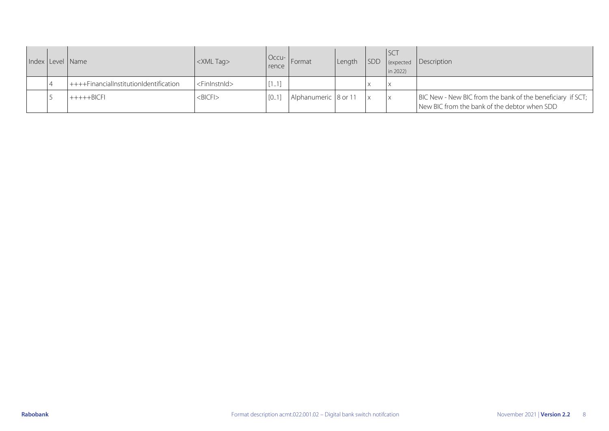|  | Index Level Name                         | <xml tag=""></xml>        | rence | Occu-   Format       | Length | <b>ISCT</b><br>$\ln 2022$ | SDD expected Description                                                                                     |
|--|------------------------------------------|---------------------------|-------|----------------------|--------|---------------------------|--------------------------------------------------------------------------------------------------------------|
|  | $++++FinancialInstitutionldentification$ | <fininstnid></fininstnid> | [11]  |                      |        | $\mathsf{I} \times$       |                                                                                                              |
|  | $+++++BICFI$                             | $<$ BICFI $>$             | [0.1] | Alphanumeric 8 or 11 |        | $\mathsf{I} \times$       | BIC New - New BIC from the bank of the beneficiary if SCT;  <br>New BIC from the bank of the debtor when SDD |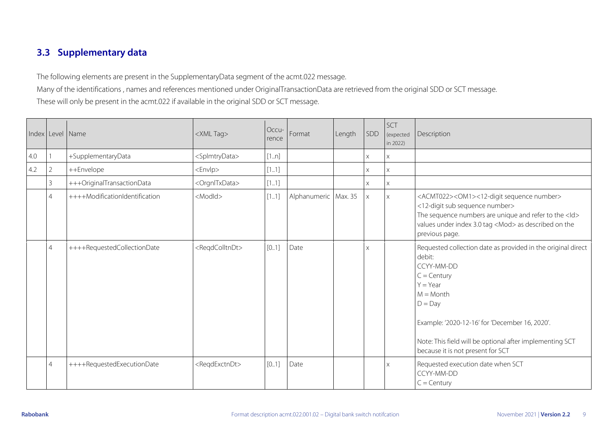#### **3.3 Supplementary data**

The following elements are present in the SupplementaryData segment of the acmt.022 message. Many of the identifications , names and references mentioned under OriginalTransactionData are retrieved from the original SDD or SCT message. These will only be present in the acmt.022 if available in the original SDD or SCT message.

<span id="page-8-0"></span>

|     |                | Index Level Name               | <xml tag=""></xml>            | Occu-<br>rence | Format                 | Length | SDD      | SCT<br>(expected<br>in 2022) | Description                                                                                                                                                                                                                                                                                        |
|-----|----------------|--------------------------------|-------------------------------|----------------|------------------------|--------|----------|------------------------------|----------------------------------------------------------------------------------------------------------------------------------------------------------------------------------------------------------------------------------------------------------------------------------------------------|
| 4.0 |                | +SupplementaryData             | <splmtrydata></splmtrydata>   | [1n]           |                        |        | X.       | X                            |                                                                                                                                                                                                                                                                                                    |
| 4.2 | $\overline{2}$ | ++Envelope                     | $<$ Envlp $>$                 | [11]           |                        |        | X        | $\times$                     |                                                                                                                                                                                                                                                                                                    |
|     | 3              | +++OriginalTransactionData     | <orgnltxdata></orgnltxdata>   | [11]           |                        |        | X.       | $\times$                     |                                                                                                                                                                                                                                                                                                    |
|     | $\overline{4}$ | ++++ModificationIdentification | <modld></modld>               | [11]           | Alphanumeric   Max. 35 |        | $\times$ | $\mathsf X$                  | <acmt022><om1>&lt;12-digit sequence number&gt;<br/>&lt;12-digit sub sequence number&gt;<br/>The sequence numbers are unique and refer to the <ld><br/>values under index 3.0 tag <mod> as described on the<br/>previous page.</mod></ld></om1></acmt022>                                           |
|     | $\overline{4}$ | ++++RequestedCollectionDate    | <regdcolltndt></regdcolltndt> | [0.1]          | Date                   |        | X        |                              | Requested collection date as provided in the original direct<br>debit:<br>CCYY-MM-DD<br>$C =$ Century<br>$Y = Year$<br>$M =$ Month<br>$D = Day$<br>Example: '2020-12-16' for 'December 16, 2020'.<br>Note: This field will be optional after implementing SCT<br>because it is not present for SCT |
|     | $\overline{4}$ | ++++RequestedExecutionDate     | <reqdexctndt></reqdexctndt>   | [0.1]          | Date                   |        |          | $\boldsymbol{\mathsf{X}}$    | Requested execution date when SCT<br>CCYY-MM-DD<br>$C =$ Century                                                                                                                                                                                                                                   |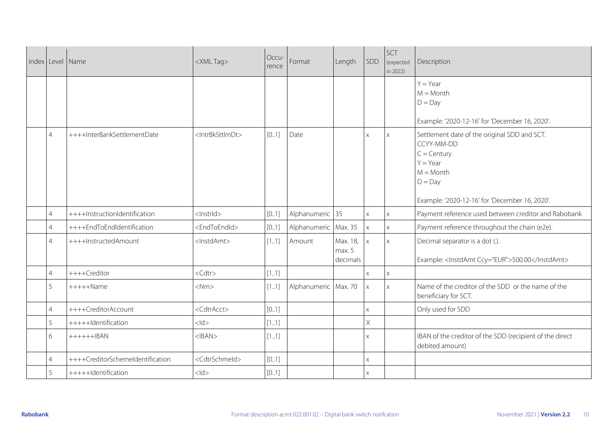|                | Index Level Name                 | <xml tag=""></xml>              | Occu-<br>rence | Format                 | Length                         | SDD          | SCT<br>(expected<br>in 2022) | Description                                                                                                                                                             |
|----------------|----------------------------------|---------------------------------|----------------|------------------------|--------------------------------|--------------|------------------------------|-------------------------------------------------------------------------------------------------------------------------------------------------------------------------|
|                |                                  |                                 |                |                        |                                |              |                              | $Y = Year$<br>$M =$ Month<br>$D = Day$<br>Example: '2020-12-16' for 'December 16, 2020'.                                                                                |
| $\overline{4}$ | ++++InterBankSettlementDate      | <intrbksttlmdt></intrbksttlmdt> | [01]           | Date                   |                                | $\times$     | $\times$                     | Settlement date of the original SDD and SCT.<br>CCYY-MM-DD<br>$C =$ Century<br>$Y = Year$<br>$M =$ Month<br>$D = Day$<br>Example: '2020-12-16' for 'December 16, 2020'. |
| $\overline{4}$ | ++++InstructionIdentification    | <lnstrld></lnstrld>             | [0.1]          | Alphanumeric 35        |                                | $\mathsf{X}$ | $\mathsf{X}$                 | Payment reference used between creditor and Rabobank                                                                                                                    |
| $\overline{4}$ | ++++EndToEndIdentification       | <endtoendid></endtoendid>       | [0.1]          | Alphanumeric Max. 35   |                                | $\times$     | $\times$                     | Payment reference throughout the chain (e2e).                                                                                                                           |
| $\overline{4}$ | ++++InstructedAmount             | <lnstdamt></lnstdamt>           | $[11]$         | Amount                 | Max. 18,<br>max. 5<br>decimals | $\times$     | $\mathsf{X}$                 | Decimal separator is a dot (.).<br>Example: <lnstdamt ccy="EUR">500.00</lnstdamt>                                                                                       |
| $\overline{4}$ | ++++Creditor                     | $<$ Cdtr $>$                    | $[11]$         |                        |                                | $\times$     | $\times$                     |                                                                                                                                                                         |
| 5              | $++++$ Name                      | $<$ Nm $>$                      | [11]           | Alphanumeric   Max. 70 |                                | $\times$     | X                            | Name of the creditor of the SDD or the name of the<br>beneficiary for SCT.                                                                                              |
| $\overline{4}$ | ++++CreditorAccount              | <cdtracct></cdtracct>           | [0.1]          |                        |                                | X            |                              | Only used for SDD                                                                                                                                                       |
| 5              | +++++Identification              | $<$ ld $>$                      | $[11]$         |                        |                                | X            |                              |                                                                                                                                                                         |
| 6              | $+++++IBAN$                      | $<$ IBAN $>$                    | [11]           |                        |                                | $\times$     |                              | IBAN of the creditor of the SDD (recipient of the direct<br>debited amount)                                                                                             |
| $\overline{4}$ | ++++CreditorSchemeldentification | <cdtrschmeld></cdtrschmeld>     | [0.1]          |                        |                                | $\times$     |                              |                                                                                                                                                                         |
|                | +++++Identification              | $<$ ld>                         | $[0.1]$        |                        |                                | $\times$     |                              |                                                                                                                                                                         |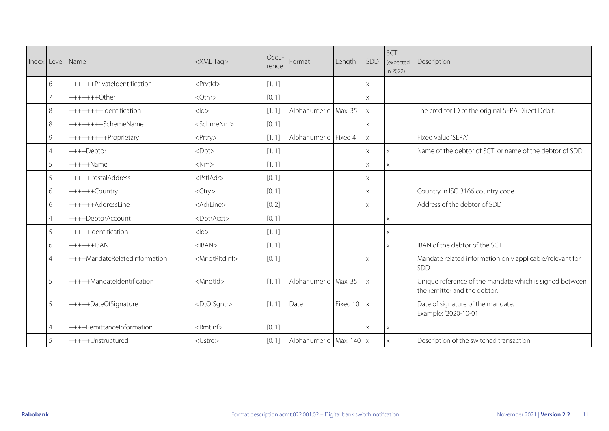| Index Level Name |                               | <xml tag=""></xml>          | Occu-<br>rence | Format                    | Length   | SDD      | SCT<br>(expected<br>in 2022) | Description                                                                             |
|------------------|-------------------------------|-----------------------------|----------------|---------------------------|----------|----------|------------------------------|-----------------------------------------------------------------------------------------|
| 6                | ++++++PrivateIdentification   | <prvtld></prvtld>           | [11]           |                           |          | $\times$ |                              |                                                                                         |
| $\overline{7}$   | $+++++Other$                  | <othr></othr>               | [0.1]          |                           |          | $\times$ |                              |                                                                                         |
| 8                | +++++++++Identification       | $<$ ld $>$                  | [11]           | Alphanumeric Max. 35      |          | $\times$ |                              | The creditor ID of the original SEPA Direct Debit.                                      |
| 8                | ++++++++SchemeName            | <schmenm></schmenm>         | [0.1]          |                           |          | $\times$ |                              |                                                                                         |
| 9                | +++++++++Proprietary          | <prtry></prtry>             | [11]           | Alphanumeric Fixed 4      |          | $\times$ |                              | Fixed value 'SEPA'.                                                                     |
| 4                | ++++Debtor                    | $<$ Dht $>$                 | [11]           |                           |          | X        | $\mathsf{X}$                 | Name of the debtor of SCT or name of the debtor of SDD                                  |
| 5                | $++++$ Name                   | $<$ Nm $>$                  | [11]           |                           |          | X        | X.                           |                                                                                         |
| 5                | +++++PostalAddress            | <pstladr></pstladr>         | [0.1]          |                           |          | X        |                              |                                                                                         |
| 6                | ++++++Country                 | <ctry></ctry>               | [0.1]          |                           |          | $\times$ |                              | Country in ISO 3166 country code.                                                       |
| 6                | ++++++AddressLine             | <adrline></adrline>         | [0.2]          |                           |          | X        |                              | Address of the debtor of SDD                                                            |
| $\overline{4}$   | ++++DebtorAccount             | <dbtracct></dbtracct>       | [0.1]          |                           |          |          | $\times$                     |                                                                                         |
| 5                | +++++Identification           | $<$ ld $>$                  | [11]           |                           |          |          | $\times$                     |                                                                                         |
| 6                | $+++++IBAN$                   | $<$ IBAN $>$                | [11]           |                           |          |          | $\times$                     | IBAN of the debtor of the SCT                                                           |
| $\overline{4}$   | ++++MandateRelatedInformation | <mndtrltdinf></mndtrltdinf> | [0.1]          |                           |          | $\times$ |                              | Mandate related information only applicable/relevant for<br>SDD                         |
| 5                | +++++MandateIdentification    | <mndtld></mndtld>           | [11]           | Alphanumeric   Max. 35    |          | $\times$ |                              | Unique reference of the mandate which is signed between<br>the remitter and the debtor. |
| 5                | +++++DateOfSignature          | <dtofsgntr></dtofsgntr>     | [11]           | Date                      | Fixed 10 | $\times$ |                              | Date of signature of the mandate.<br>Example: '2020-10-01'                              |
| $\overline{4}$   | ++++RemittanceInformation     | <rmtlnf></rmtlnf>           | [0.1]          |                           |          | X        | X                            |                                                                                         |
| 5                | +++++Unstructured             | <ustrd></ustrd>             | [0.1]          | Alphanumeric Max. 140   x |          |          | $\times$                     | Description of the switched transaction.                                                |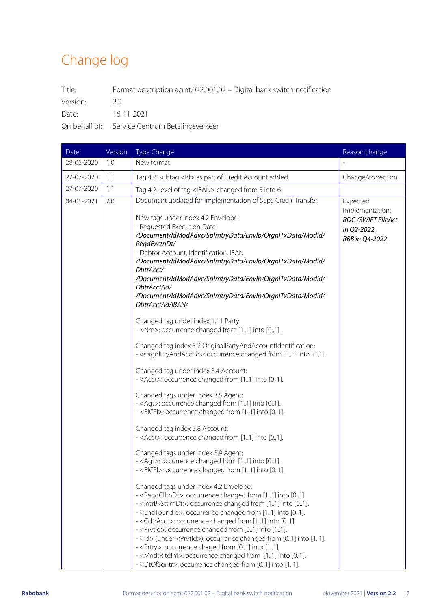# <span id="page-11-0"></span>Change log

Title: Format description acmt.022.001.02 – Digital bank switch notification Version: 2.2

Date: 16-11-2021

On behalf of: Service Centrum Betalingsverkeer

| Date       | Version | Type Change                                                                                                                                                                                                                                                                                                                                                                                                                                                                                                                                                                                                                                                                                                                                                                                                                                                                                                                                                                                                                                                                                                                                                                                                                                                                                                                                 | Reason change                                                                      |
|------------|---------|---------------------------------------------------------------------------------------------------------------------------------------------------------------------------------------------------------------------------------------------------------------------------------------------------------------------------------------------------------------------------------------------------------------------------------------------------------------------------------------------------------------------------------------------------------------------------------------------------------------------------------------------------------------------------------------------------------------------------------------------------------------------------------------------------------------------------------------------------------------------------------------------------------------------------------------------------------------------------------------------------------------------------------------------------------------------------------------------------------------------------------------------------------------------------------------------------------------------------------------------------------------------------------------------------------------------------------------------|------------------------------------------------------------------------------------|
| 28-05-2020 | 1.0     | New format                                                                                                                                                                                                                                                                                                                                                                                                                                                                                                                                                                                                                                                                                                                                                                                                                                                                                                                                                                                                                                                                                                                                                                                                                                                                                                                                  |                                                                                    |
| 27-07-2020 | 1.1     | Tag 4.2: subtag <ld> as part of Credit Account added.</ld>                                                                                                                                                                                                                                                                                                                                                                                                                                                                                                                                                                                                                                                                                                                                                                                                                                                                                                                                                                                                                                                                                                                                                                                                                                                                                  | Change/correction                                                                  |
| 27-07-2020 | 1.1     | Tag 4.2: level of tag <iban> changed from 5 into 6.</iban>                                                                                                                                                                                                                                                                                                                                                                                                                                                                                                                                                                                                                                                                                                                                                                                                                                                                                                                                                                                                                                                                                                                                                                                                                                                                                  |                                                                                    |
| 04-05-2021 | 2.0     | Document updated for implementation of Sepa Credit Transfer.<br>New tags under index 4.2 Envelope:<br>- Requested Execution Date<br>/Document/IdModAdvc/SplmtryData/Envlp/OrgnITxData/ModId/<br>RegdExctnDt/<br>- Debtor Account, Identification, IBAN<br>/Document/IdModAdvc/SplmtryData/Envlp/OrgnlTxData/ModId/<br>DbtrAcct/<br>/Document/IdModAdvc/SplmtryData/Envlp/OrgnlTxData/ModId/<br>DbtrAcct/Id/<br>/Document/ldModAdvc/SplmtryData/Envlp/OrgnlTxData/ModId/<br>DbtrAcct/Id/IBAN/                                                                                                                                                                                                                                                                                                                                                                                                                                                                                                                                                                                                                                                                                                                                                                                                                                                | Expected<br>implementation:<br>RDC/SWIFT FileAct<br>in Q2-2022.<br>RBB in Q4-2022. |
|            |         | Changed tag under index 1.11 Party:<br>- <nm>: occurrence changed from [11] into [01].<br/>Changed tag index 3.2 OriginalPartyAndAccountIdentification:<br/>- &lt; OrgnlPtyAndAcctId&gt;: occurrence changed from [11] into [01].<br/>Changed tag under index 3.4 Account:<br/>- <acct>: occurrence changed from [11] into [01].<br/>Changed tags under index 3.5 Agent:<br/>- <agt>: occurrence changed from [11] into [01].<br/>- <bicfi>; occurrence changed from [11] into [01].<br/>Changed tag index 3.8 Account:<br/>- <acct>: occurrence changed from [11] into [01].<br/>Changed tags under index 3.9 Agent:<br/>- <agt>: occurrence changed from [11] into [01].<br/>- <bicfi>; occurrence changed from [11] into [01].<br/>Changed tags under index 4.2 Envelope:<br/>- <reqdclltndt>: occurrence changed from [11] into [01].<br/>- &lt; IntrBkSttlmDt&gt;: occurrence changed from [11] into [01].<br/>- <endtoendid>: occurrence changed from [11] into [01].<br/>- <cdtracct>: occurrence changed from [11] into [01].<br/>- <prvtld>: occurrence changed from [01] into [11].<br/>- <ld> (under <prvtld>): occurrence changed from [01] into [11].<br/>- &lt; Prtry&gt;: occurrence chaged from [01] into [11].</prvtld></ld></prvtld></cdtracct></endtoendid></reqdclltndt></bicfi></agt></acct></bicfi></agt></acct></nm> |                                                                                    |